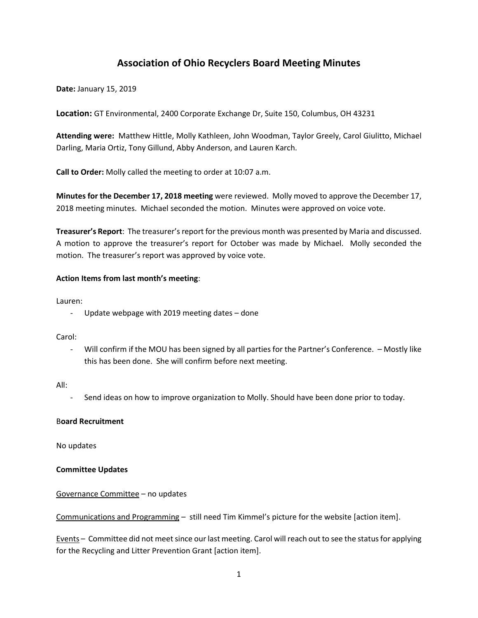# **Association of Ohio Recyclers Board Meeting Minutes**

**Date:** January 15, 2019

**Location:** GT Environmental, 2400 Corporate Exchange Dr, Suite 150, Columbus, OH 43231

**Attending were:** Matthew Hittle, Molly Kathleen, John Woodman, Taylor Greely, Carol Giulitto, Michael Darling, Maria Ortiz, Tony Gillund, Abby Anderson, and Lauren Karch.

**Call to Order:** Molly called the meeting to order at 10:07 a.m.

**Minutes for the December 17, 2018 meeting** were reviewed. Molly moved to approve the December 17, 2018 meeting minutes. Michael seconded the motion. Minutes were approved on voice vote.

**Treasurer's Report**: The treasurer's report for the previous month was presented by Maria and discussed. A motion to approve the treasurer's report for October was made by Michael. Molly seconded the motion. The treasurer's report was approved by voice vote.

## **Action Items from last month's meeting**:

Lauren:

- Update webpage with 2019 meeting dates – done

Carol:

- Will confirm if the MOU has been signed by all parties for the Partner's Conference. – Mostly like this has been done. She will confirm before next meeting.

All:

Send ideas on how to improve organization to Molly. Should have been done prior to today.

#### B**oard Recruitment**

No updates

## **Committee Updates**

## Governance Committee – no updates

Communications and Programming – still need Tim Kimmel's picture for the website [action item].

Events – Committee did not meet since our last meeting. Carol will reach out to see the status for applying for the Recycling and Litter Prevention Grant [action item].